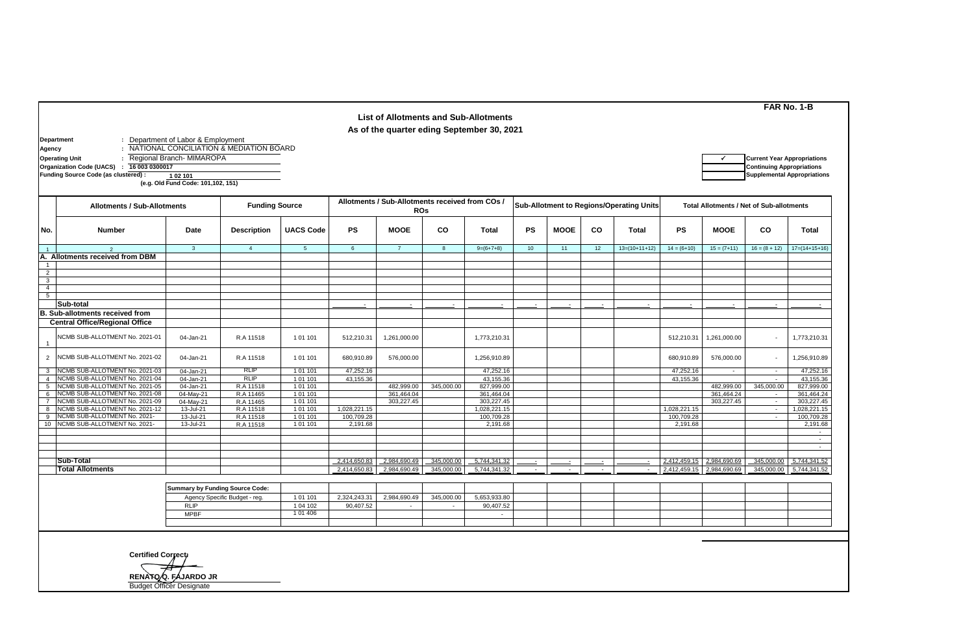|                                           |                                                                       |                                                                 |                                           |                       |                                                               | <b>List of Allotments and Sub-Allotments</b> |                  |                                          |           |                          |    |                                                 |               |                           |                                                                        | FAR No. 1-B                        |
|-------------------------------------------|-----------------------------------------------------------------------|-----------------------------------------------------------------|-------------------------------------------|-----------------------|---------------------------------------------------------------|----------------------------------------------|------------------|------------------------------------------|-----------|--------------------------|----|-------------------------------------------------|---------------|---------------------------|------------------------------------------------------------------------|------------------------------------|
|                                           |                                                                       |                                                                 |                                           |                       |                                                               | As of the quarter eding September 30, 2021   |                  |                                          |           |                          |    |                                                 |               |                           |                                                                        |                                    |
| Department<br>Agency                      | <b>Operating Unit</b><br>16 003 0300017<br>Organization Code (UACS) : | : Department of Labor & Employment<br>Regional Branch- MIMAROPA | : NATIONAL CONCILIATION & MEDIATION BOARD |                       |                                                               |                                              |                  |                                          |           |                          |    |                                                 |               |                           | <b>Current Year Appropriations</b><br><b>Continuing Appropriations</b> |                                    |
|                                           | Funding Source Code (as clustered) :                                  | 102 101<br>(e.g. Old Fund Code: 101,102, 151)                   |                                           |                       |                                                               |                                              |                  |                                          |           |                          |    |                                                 |               |                           |                                                                        | <b>Supplemental Appropriations</b> |
|                                           |                                                                       |                                                                 |                                           |                       |                                                               |                                              |                  |                                          |           |                          |    |                                                 |               |                           |                                                                        |                                    |
|                                           | <b>Funding Source</b><br><b>Allotments / Sub-Allotments</b>           |                                                                 |                                           |                       | Allotments / Sub-Allotments received from COs /<br><b>ROs</b> |                                              |                  | Sub-Allotment to Regions/Operating Units |           |                          |    | <b>Total Allotments / Net of Sub-allotments</b> |               |                           |                                                                        |                                    |
| No.                                       | <b>Number</b>                                                         | Date                                                            | <b>Description</b>                        | <b>UACS Code</b>      | <b>PS</b>                                                     | <b>MOOE</b>                                  | CO               | <b>Total</b>                             | <b>PS</b> | <b>MOOE</b>              | CO | Total                                           | <b>PS</b>     | <b>MOOE</b>               | CO                                                                     | Total                              |
| $\overline{1}$                            | $\overline{2}$                                                        | $\overline{3}$                                                  | $\overline{4}$                            | $5\overline{)}$       | $6\phantom{.}6$                                               | $\overline{7}$                               | $\boldsymbol{8}$ | $9=(6+7+8)$                              | 10        | 11                       | 12 | $13=(10+11+12)$                                 | $14 = (6+10)$ | $15 = (7+11)$             | $16 = (8 + 12)$                                                        | $17=(14+15+16)$                    |
|                                           | A. Allotments received from DBM                                       |                                                                 |                                           |                       |                                                               |                                              |                  |                                          |           |                          |    |                                                 |               |                           |                                                                        |                                    |
| $\mathbf{1}$                              |                                                                       |                                                                 |                                           |                       |                                                               |                                              |                  |                                          |           |                          |    |                                                 |               |                           |                                                                        |                                    |
| $\overline{2}$                            |                                                                       |                                                                 |                                           |                       |                                                               |                                              |                  |                                          |           |                          |    |                                                 |               |                           |                                                                        |                                    |
| $\overline{\mathbf{3}}$<br>$\overline{4}$ |                                                                       |                                                                 |                                           |                       |                                                               |                                              |                  |                                          |           |                          |    |                                                 |               |                           |                                                                        |                                    |
| 5                                         |                                                                       |                                                                 |                                           |                       |                                                               |                                              |                  |                                          |           |                          |    |                                                 |               |                           |                                                                        |                                    |
|                                           | Sub-total                                                             |                                                                 |                                           |                       | $\sim$                                                        |                                              |                  | $\sim$                                   | $\sim$    | $\overline{\phantom{a}}$ |    |                                                 |               |                           |                                                                        |                                    |
|                                           | B. Sub-allotments received from                                       |                                                                 |                                           |                       |                                                               |                                              |                  |                                          |           |                          |    |                                                 |               |                           |                                                                        |                                    |
|                                           | <b>Central Office/Regional Office</b>                                 |                                                                 |                                           |                       |                                                               |                                              |                  |                                          |           |                          |    |                                                 |               |                           |                                                                        |                                    |
|                                           | NCMB SUB-ALLOTMENT No. 2021-01                                        | 04-Jan-21                                                       | R.A 11518                                 | 1 01 101              | 512,210.31                                                    | 1,261,000.00                                 |                  | 1,773,210.31                             |           |                          |    |                                                 | 512,210.31    | 1,261,000.00              |                                                                        | 1,773,210.31                       |
| $\overline{2}$                            | NCMB SUB-ALLOTMENT No. 2021-02                                        | 04-Jan-21                                                       | R.A 11518                                 | 1 01 101              | 680,910.89                                                    | 576,000.00                                   |                  | 1,256,910.89                             |           |                          |    |                                                 | 680,910.89    | 576,000.00                | $\blacksquare$                                                         | 1,256,910.89                       |
| 3                                         | NCMB SUB-ALLOTMENT No. 2021-03                                        | 04-Jan-21                                                       | <b>RLIP</b>                               | 101 101               | 47,252.16                                                     |                                              |                  | 47,252.16                                |           |                          |    |                                                 | 47,252.16     | $\sim$                    | $\sim$                                                                 | 47,252.16                          |
| $\overline{4}$                            | NCMB SUB-ALLOTMENT No. 2021-04                                        | 04-Jan-21                                                       | <b>RLIP</b>                               | 1 01 101              | 43,155.36                                                     |                                              |                  | 43.155.36                                |           |                          |    |                                                 | 43,155.36     |                           |                                                                        | 43,155.36                          |
| 5                                         | NCMB SUB-ALLOTMENT No. 2021-05                                        | 04-Jan-21                                                       | R.A 11518                                 | 1 01 101              |                                                               | 482,999.00                                   | 345,000.00       | 827,999.00                               |           |                          |    |                                                 |               | 482,999.00                | 345,000.00                                                             | 827,999.00                         |
| 6<br>$\overline{7}$                       | NCMB SUB-ALLOTMENT No. 2021-08<br>NCMB SUB-ALLOTMENT No. 2021-09      | 04-May-21<br>04-May-21                                          | R.A 11465<br>R.A 11465                    | 1 01 101<br>1 01 1 01 |                                                               | 361,464.04<br>303,227.45                     |                  | 361,464.04<br>303,227.45                 |           |                          |    |                                                 |               | 361,464.24<br>303,227.45  | $\sim$<br>$\sim$                                                       | 361,464.24<br>303,227.45           |
| 8                                         | NCMB SUB-ALLOTMENT No. 2021-12                                        | 13-Jul-21                                                       | R.A 11518                                 | 1 01 101              | 1,028,221.15                                                  |                                              |                  | 1,028,221.15                             |           |                          |    |                                                 | 1,028,221.15  |                           | $\sim$                                                                 | 1,028,221.15                       |
| 9                                         | NCMB SUB-ALLOTMENT No. 2021-                                          | 13-Jul-21                                                       | R.A 11518                                 | 1 01 101              | 100,709.28                                                    |                                              |                  | 100,709.28                               |           |                          |    |                                                 | 100,709.28    |                           | $\sim$                                                                 | 100,709.28                         |
| 10                                        | NCMB SUB-ALLOTMENT No. 2021-                                          | 13-Jul-21                                                       | R.A 11518                                 | 1 01 101              | 2,191.68                                                      |                                              |                  | 2,191.68                                 |           |                          |    |                                                 | 2,191.68      |                           |                                                                        | 2,191.68                           |
|                                           |                                                                       |                                                                 |                                           |                       |                                                               |                                              |                  |                                          |           |                          |    |                                                 |               |                           |                                                                        | $\sim$                             |
|                                           |                                                                       |                                                                 |                                           |                       |                                                               |                                              |                  |                                          |           |                          |    |                                                 |               |                           |                                                                        | $\mathbf{r}$                       |
|                                           | Sub-Total                                                             |                                                                 |                                           |                       | 2,414,650.83                                                  | 2,984,690.49                                 | 345,000.00       | 5,744,341.32                             | $\sim$    | $\sim$                   |    |                                                 |               | 2,412,459.15 2,984,690.69 | 345,000.00                                                             | 5,744,341.52                       |
|                                           | <b>Total Allotments</b>                                               |                                                                 |                                           |                       | 2,414,650.83                                                  | 2,984,690.49                                 | 345,000.00       | 5,744,341.32                             | $\sim$    |                          |    |                                                 | 2,412,459.15  | 2,984,690.69              | 345,000.00                                                             | 5,744,341.52                       |
|                                           |                                                                       | <b>Summary by Funding Source Code:</b>                          |                                           |                       |                                                               |                                              |                  |                                          |           |                          |    |                                                 |               |                           |                                                                        |                                    |
|                                           |                                                                       |                                                                 | Agency Specific Budget - reg.             | 1 01 101              | 2,324,243.31                                                  | 2,984,690.49                                 | 345,000.00       | 5,653,933.80                             |           |                          |    |                                                 |               |                           |                                                                        |                                    |
|                                           |                                                                       | <b>RLIP</b>                                                     |                                           | 1 04 102              | 90,407.52                                                     |                                              |                  | 90,407.52                                |           |                          |    |                                                 |               |                           |                                                                        |                                    |
|                                           |                                                                       | <b>MPBF</b>                                                     |                                           | 1 01 4 06             |                                                               |                                              |                  | $\sim$                                   |           |                          |    |                                                 |               |                           |                                                                        |                                    |
|                                           |                                                                       |                                                                 |                                           |                       |                                                               |                                              |                  |                                          |           |                          |    |                                                 |               |                           |                                                                        |                                    |
|                                           |                                                                       |                                                                 |                                           |                       |                                                               |                                              |                  |                                          |           |                          |    |                                                 |               |                           |                                                                        |                                    |
|                                           | <b>Certified Correct:</b>                                             |                                                                 |                                           |                       |                                                               |                                              |                  |                                          |           |                          |    |                                                 |               |                           |                                                                        |                                    |
|                                           |                                                                       |                                                                 |                                           |                       |                                                               |                                              |                  |                                          |           |                          |    |                                                 |               |                           |                                                                        |                                    |

**RENATO Q. FAJARDO JR**

Budget Officer Designate